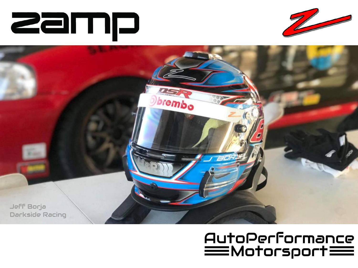





#### AutoPerformance  $\equiv$ Motorsport $\equiv$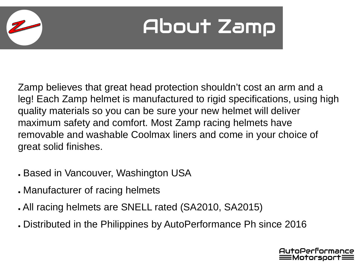## About Zamp

Zamp believes that great head protection shouldn't cost an arm and a leg! Each Zamp helmet is manufactured to rigid specifications, using high quality materials so you can be sure your new helmet will deliver maximum safety and comfort. Most Zamp racing helmets have removable and washable Coolmax liners and come in your choice of great solid finishes.

- . Based in Vancouver, Washington USA
- Manufacturer of racing helmets
- . All racing helmets are SNELL rated (SA2010, SA2015)
- . Distributed in the Philippines by AutoPerformance Ph since 2016

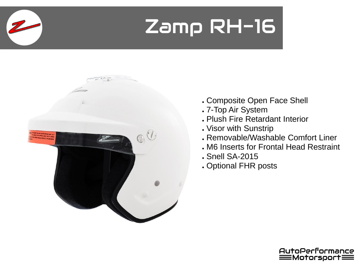### Zamp RH-16



- . Composite Open Face Shell
- . 7-Top Air System
- . Plush Fire Retardant Interior
- . Visor with Sunstrip
- Removable/Washable Comfort Liner
- . M6 Inserts for Frontal Head Restraint
- . Snell SA-2015
- . Optional FHR posts

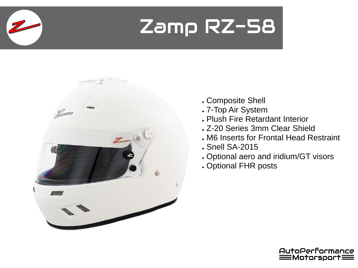#### Zamp RZ-58



- . Composite Shell
- . 7-Top Air System
- . Plush Fire Retardant Interior
- . Z-20 Series 3mm Clear Shield
- . M6 Inserts for Frontal Head Restraint
- . Snell SA-2015
- . Optional aero and iridium/GT visors
- . Optional FHR posts

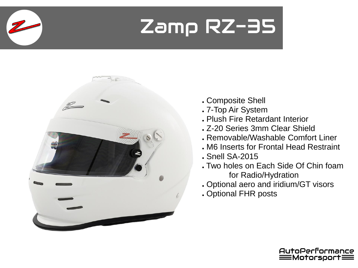## Zamp RZ-35



- . Composite Shell
- . 7-Top Air System
- . Plush Fire Retardant Interior
- . Z-20 Series 3mm Clear Shield
- . Removable/Washable Comfort Liner
- . M6 Inserts for Frontal Head Restraint
- . Snell SA-2015
- . Two holes on Each Side Of Chin foam for Radio/Hydration
- . Optional aero and iridium/GT visors
- . Optional FHR posts

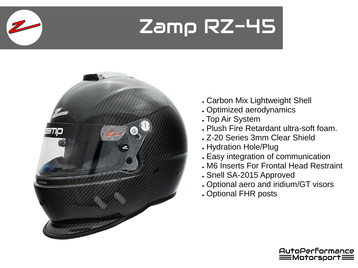#### Zamp RZ-45



- . Carbon Mix Lightweight Shell
- . Optimized aerodynamics
- . Top Air System
- . Plush Fire Retardant ultra-soft foam.
- . Z-20 Series 3mm Clear Shield
- . Hydration Hole/Plug
- . Easy integration of communication
- . M6 Inserts For Frontal Head Restraint
- . Snell SA-2015 Approved
- . Optional aero and iridium/GT visors
- . Optional FHR posts

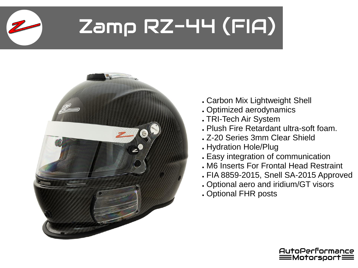# Zamp RZ-44 (FIA)



- . Carbon Mix Lightweight Shell
- . Optimized aerodynamics
- . TRI-Tech Air System
- . Plush Fire Retardant ultra-soft foam.
- . Z-20 Series 3mm Clear Shield
- . Hydration Hole/Plug
- . Easy integration of communication
- . M6 Inserts For Frontal Head Restraint
- FIA 8859-2015, Snell SA-2015 Approved
- . Optional aero and iridium/GT visors
- . Optional FHR posts

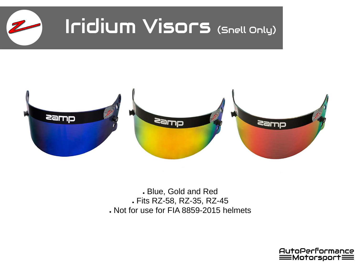



. Blue, Gold and Red ● Fits RZ-58, RZ-35, RZ-45 . Not for use for FIA 8859-2015 helmets

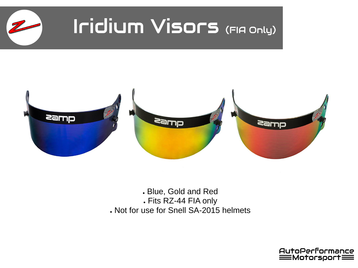

#### JIUM VISOFS (FIAC Iridium Visors (FIA Only)



● Blue, Gold and Red ● Fits RZ-44 FIA only . Not for use for Snell SA-2015 helmets

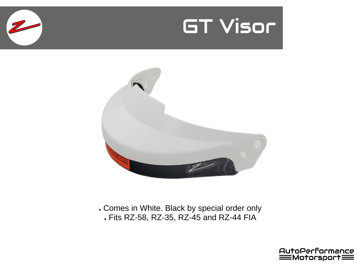



. Comes in White. Black by special order only ● Fits RZ-58, RZ-35, RZ-45 and RZ-44 FIA

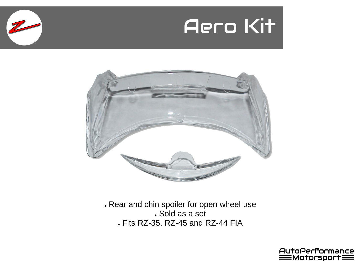



. Rear and chin spoiler for open wheel use . Sold as a set ● Fits RZ-35, RZ-45 and RZ-44 FIA

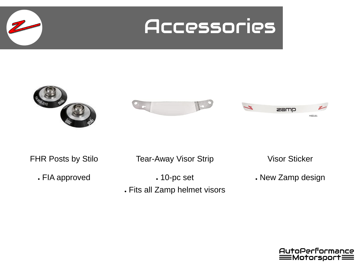



FHR Posts by Stilo

. FIA approved

Tear-Away Visor Strip

 $.10$ -pc set

. Fits all Zamp helmet visors

Visor Sticker

. New Zamp design

AutoPerformance  $\equiv$ Motorsport $\equiv$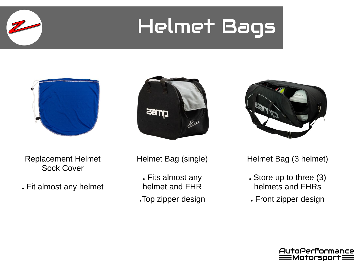## Helmet Bags



Replacement Helmet Sock Cover

. Fit almost any helmet





Helmet Bag (single)

. Fits almost any helmet and FHR .Top zipper design Helmet Bag (3 helmet)

- Store up to three (3) helmets and FHRs
- . Front zipper design

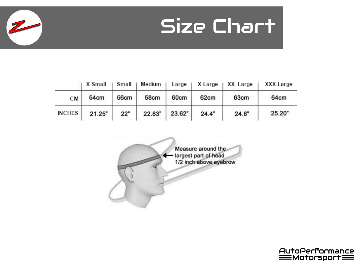

|               | X-Small | Small | Medium | Large  | X-Large | XX-Large | XXX-Large |
|---------------|---------|-------|--------|--------|---------|----------|-----------|
| СM            | 54cm    | 56cm  | 58cm   | 60cm   | 62cm    | 63cm     | 64cm      |
| <b>INCHES</b> | 21.25"  | 22"   | 22.83" | 23.62" | 24.4"   | 24.8"    | 25.20"    |